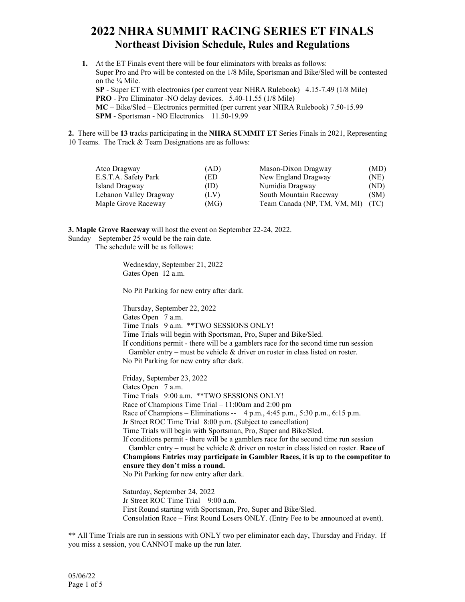## **2022 NHRA SUMMIT RACING SERIES ET FINALS Northeast Division Schedule, Rules and Regulations**

**1.** At the ET Finals event there will be four eliminators with breaks as follows: Super Pro and Pro will be contested on the 1/8 Mile, Sportsman and Bike/Sled will be contested on the ¼ Mile. **SP** - Super ET with electronics (per current year NHRA Rulebook) 4.15-7.49 (1/8 Mile) **PRO** - Pro Eliminator -NO delay devices. 5.40-11.55 (1/8 Mile) **MC** – Bike/Sled – Electronics permitted (per current year NHRA Rulebook) 7.50-15.99 **SPM** - Sportsman - NO Electronics 11.50-19.99

**2.** There will be **13** tracks participating in the **NHRA SUMMIT ET** Series Finals in 2021, Representing 10 Teams. The Track & Team Designations are as follows:

| Atco Dragway           | (AD) | Mason-Dixon Dragway          | (MD) |
|------------------------|------|------------------------------|------|
| E.S.T.A. Safety Park   | (ED  | New England Dragway          | (NE) |
| Island Dragway         | (ID) | Numidia Dragway              | (ND) |
| Lebanon Valley Dragway | (LV) | South Mountain Raceway       | (SM) |
| Maple Grove Raceway    | (MG) | Team Canada (NP, TM, VM, MI) | (TC) |

**3. Maple Grove Raceway** will host the event on September 22-24, 2022.

Sunday – September 25 would be the rain date.

The schedule will be as follows:

Wednesday, September 21, 2022 Gates Open 12 a.m.

No Pit Parking for new entry after dark.

Thursday, September 22, 2022 Gates Open 7 a.m. Time Trials 9 a.m. \*\*TWO SESSIONS ONLY! Time Trials will begin with Sportsman, Pro, Super and Bike/Sled. If conditions permit - there will be a gamblers race for the second time run session Gambler entry – must be vehicle  $\&$  driver on roster in class listed on roster.

No Pit Parking for new entry after dark.

Friday, September 23, 2022 Gates Open 7 a.m. Time Trials 9:00 a.m. \*\*TWO SESSIONS ONLY! Race of Champions Time Trial – 11:00am and 2:00 pm Race of Champions – Eliminations -- 4 p.m., 4:45 p.m., 5:30 p.m., 6:15 p.m. Jr Street ROC Time Trial 8:00 p.m. (Subject to cancellation) Time Trials will begin with Sportsman, Pro, Super and Bike/Sled. If conditions permit - there will be a gamblers race for the second time run session Gambler entry – must be vehicle & driver on roster in class listed on roster. **Race of Champions Entries may participate in Gambler Races, it is up to the competitor to ensure they don't miss a round.** No Pit Parking for new entry after dark. Saturday, September 24, 2022

Jr Street ROC Time Trial 9:00 a.m. First Round starting with Sportsman, Pro, Super and Bike/Sled. Consolation Race – First Round Losers ONLY. (Entry Fee to be announced at event).

\*\* All Time Trials are run in sessions with ONLY two per eliminator each day, Thursday and Friday. If you miss a session, you CANNOT make up the run later.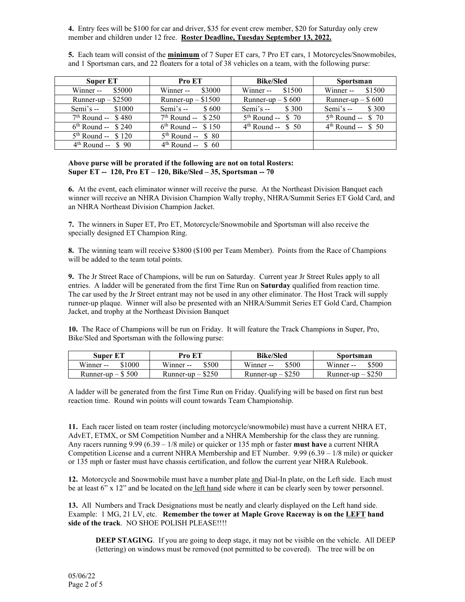**4.** Entry fees will be \$100 for car and driver, \$35 for event crew member, \$20 for Saturday only crew member and children under 12 free. **Roster Deadline, Tuesday September 13, 2022.**

**5.** Each team will consist of the **minimum** of 7 Super ET cars, 7 Pro ET cars, 1 Motorcycles/Snowmobiles, and 1 Sportsman cars, and 22 floaters for a total of 38 vehicles on a team, with the following purse:

| Super ET                | <b>Pro ET</b>           | <b>Bike/Sled</b>     | <b>Sportsman</b>     |
|-------------------------|-------------------------|----------------------|----------------------|
| Winner -- $$5000$       | Winner -- $$3000$       | Winner -- $$1500$    | Winner -- $$1500$    |
| Runner-up $-$ \$2500    | Runner-up $-$ \$1500    | Runner-up $-$ \$600  | Runner-up $-$ \$600  |
| Semi's $-$ \$1000       | Semi's $-$ \$600        | Semi's $-$ \$ 300    | Semi's $-$ \$ 300    |
| $7th$ Round -- \$480    | $7th$ Round -- \$ 250   | $5th$ Round -- \$ 70 | $5th$ Round -- \$ 70 |
| $6th$ Round -- \$ 240   | $6^{th}$ Round -- \$150 | $4th$ Round -- \$ 50 | $4th$ Round -- \$ 50 |
| $5th$ Round -- \$ 120   | $5th$ Round -- \$ 80    |                      |                      |
| $4^{th}$ Round -- \$ 90 | $4th$ Round -- \$ 60    |                      |                      |

## **Above purse will be prorated if the following are not on total Rosters: Super ET -- 120, Pro ET – 120, Bike/Sled – 35, Sportsman -- 70**

**6.** At the event, each eliminator winner will receive the purse. At the Northeast Division Banquet each winner will receive an NHRA Division Champion Wally trophy, NHRA/Summit Series ET Gold Card, and an NHRA Northeast Division Champion Jacket.

**7.** The winners in Super ET, Pro ET, Motorcycle/Snowmobile and Sportsman will also receive the specially designed ET Champion Ring.

**8.** The winning team will receive \$3800 (\$100 per Team Member). Points from the Race of Champions will be added to the team total points.

**9.** The Jr Street Race of Champions, will be run on Saturday. Current year Jr Street Rules apply to all entries. A ladder will be generated from the first Time Run on **Saturday** qualified from reaction time. The car used by the Jr Street entrant may not be used in any other eliminator. The Host Track will supply runner-up plaque. Winner will also be presented with an NHRA/Summit Series ET Gold Card, Champion Jacket, and trophy at the Northeast Division Banquet

**10.** The Race of Champions will be run on Friday. It will feature the Track Champions in Super, Pro, Bike/Sled and Sportsman with the following purse:

| <b>Super ET</b>     | Pro ET              | <b>Bike/Sled</b>    | Sportsman           |
|---------------------|---------------------|---------------------|---------------------|
| \$1000<br>Winner -- | \$500<br>Winner --  | Winner --<br>\$500  | \$500<br>Winner --  |
| Runner-up $-$ \$500 | Runner-up $-$ \$250 | Runner-up $-$ \$250 | Runner-up $-$ \$250 |

A ladder will be generated from the first Time Run on Friday. Qualifying will be based on first run best reaction time. Round win points will count towards Team Championship.

**11.** Each racer listed on team roster (including motorcycle/snowmobile) must have a current NHRA ET, AdvET, ETMX, or SM Competition Number and a NHRA Membership for the class they are running. Any racers running 9.99 (6.39 – 1/8 mile) or quicker or 135 mph or faster **must have** a current NHRA Competition License and a current NHRA Membership and ET Number.  $9.99 (6.39 - 1/8$  mile) or quicker or 135 mph or faster must have chassis certification, and follow the current year NHRA Rulebook.

**12.** Motorcycle and Snowmobile must have a number plate and Dial-In plate, on the Left side. Each must be at least 6" x 12" and be located on the left hand side where it can be clearly seen by tower personnel.

**13.** All Numbers and Track Designations must be neatly and clearly displayed on the Left hand side. Example: 1 MG, 21 LV, etc. **Remember the tower at Maple Grove Raceway is on the LEFT hand side of the track**. NO SHOE POLISH PLEASE!!!!

**DEEP STAGING**. If you are going to deep stage, it may not be visible on the vehicle. All DEEP (lettering) on windows must be removed (not permitted to be covered). The tree will be on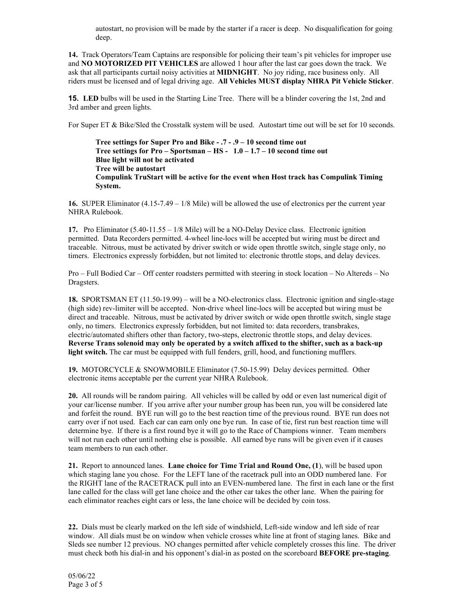autostart, no provision will be made by the starter if a racer is deep. No disqualification for going deep.

**14.** Track Operators/Team Captains are responsible for policing their team's pit vehicles for improper use and **NO MOTORIZED PIT VEHICLES** are allowed 1 hour after the last car goes down the track. We ask that all participants curtail noisy activities at **MIDNIGHT**. No joy riding, race business only. All riders must be licensed and of legal driving age. **All Vehicles MUST display NHRA Pit Vehicle Sticker**.

**15. LED** bulbs will be used in the Starting Line Tree. There will be a blinder covering the 1st, 2nd and 3rd amber and green lights.

For Super ET & Bike/Sled the Crosstalk system will be used. Autostart time out will be set for 10 seconds.

**Tree settings for Super Pro and Bike - .7 - .9 – 10 second time out Tree settings for Pro – Sportsman – HS - 1.0 – 1.7 – 10 second time out Blue light will not be activated Tree will be autostart Compulink TruStart will be active for the event when Host track has Compulink Timing System.**

**16.** SUPER Eliminator (4.15-7.49 – 1/8 Mile) will be allowed the use of electronics per the current year NHRA Rulebook.

**17.** Pro Eliminator (5.40-11.55 – 1/8 Mile) will be a NO-Delay Device class. Electronic ignition permitted. Data Recorders permitted. 4-wheel line-locs will be accepted but wiring must be direct and traceable. Nitrous, must be activated by driver switch or wide open throttle switch, single stage only, no timers. Electronics expressly forbidden, but not limited to: electronic throttle stops, and delay devices.

Pro – Full Bodied Car – Off center roadsters permitted with steering in stock location – No Altereds – No Dragsters.

**18.** SPORTSMAN ET (11.50-19.99) – will be a NO-electronics class. Electronic ignition and single-stage (high side) rev-limiter will be accepted. Non-drive wheel line-locs will be accepted but wiring must be direct and traceable. Nitrous, must be activated by driver switch or wide open throttle switch, single stage only, no timers. Electronics expressly forbidden, but not limited to: data recorders, transbrakes, electric/automated shifters other than factory, two-steps, electronic throttle stops, and delay devices. **Reverse Trans solenoid may only be operated by a switch affixed to the shifter, such as a back-up light switch.** The car must be equipped with full fenders, grill, hood, and functioning mufflers.

**19.** MOTORCYCLE & SNOWMOBILE Eliminator (7.50-15.99) Delay devices permitted. Other electronic items acceptable per the current year NHRA Rulebook.

**20.** All rounds will be random pairing. All vehicles will be called by odd or even last numerical digit of your car/license number. If you arrive after your number group has been run, you will be considered late and forfeit the round. BYE run will go to the best reaction time of the previous round. BYE run does not carry over if not used. Each car can earn only one bye run. In case of tie, first run best reaction time will determine bye. If there is a first round bye it will go to the Race of Champions winner. Team members will not run each other until nothing else is possible. All earned bye runs will be given even if it causes team members to run each other.

**21.** Report to announced lanes. **Lane choice for Time Trial and Round One, (1**), will be based upon which staging lane you chose. For the LEFT lane of the racetrack pull into an ODD numbered lane. For the RIGHT lane of the RACETRACK pull into an EVEN-numbered lane. The first in each lane or the first lane called for the class will get lane choice and the other car takes the other lane. When the pairing for each eliminator reaches eight cars or less, the lane choice will be decided by coin toss.

**22.** Dials must be clearly marked on the left side of windshield, Left-side window and left side of rear window. All dials must be on window when vehicle crosses white line at front of staging lanes. Bike and Sleds see number 12 previous. NO changes permitted after vehicle completely crosses this line. The driver must check both his dial-in and his opponent's dial-in as posted on the scoreboard **BEFORE pre-staging**.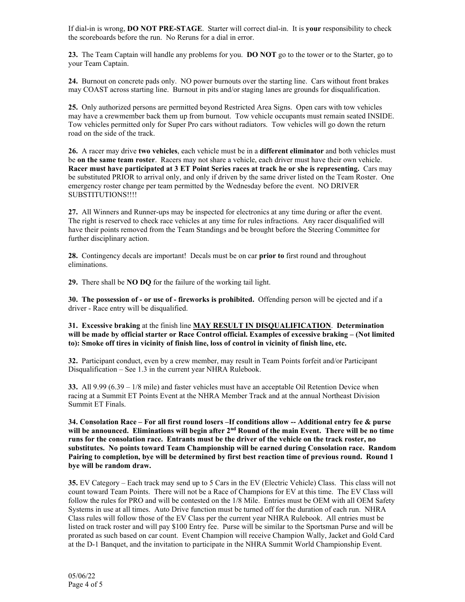If dial-in is wrong, **DO NOT PRE-STAGE**. Starter will correct dial-in. It is **your** responsibility to check the scoreboards before the run. No Reruns for a dial in error.

**23.** The Team Captain will handle any problems for you. **DO NOT** go to the tower or to the Starter, go to your Team Captain.

**24.** Burnout on concrete pads only. NO power burnouts over the starting line. Cars without front brakes may COAST across starting line. Burnout in pits and/or staging lanes are grounds for disqualification.

**25.** Only authorized persons are permitted beyond Restricted Area Signs. Open cars with tow vehicles may have a crewmember back them up from burnout. Tow vehicle occupants must remain seated INSIDE. Tow vehicles permitted only for Super Pro cars without radiators. Tow vehicles will go down the return road on the side of the track.

**26.** A racer may drive **two vehicles**, each vehicle must be in a **different eliminator** and both vehicles must be **on the same team roster**. Racers may not share a vehicle, each driver must have their own vehicle. **Racer must have participated at 3 ET Point Series races at track he or she is representing.** Cars may be substituted PRIOR to arrival only, and only if driven by the same driver listed on the Team Roster. One emergency roster change per team permitted by the Wednesday before the event. NO DRIVER SUBSTITUTIONS!!!!

**27.** All Winners and Runner-ups may be inspected for electronics at any time during or after the event. The right is reserved to check race vehicles at any time for rules infractions. Any racer disqualified will have their points removed from the Team Standings and be brought before the Steering Committee for further disciplinary action.

**28.** Contingency decals are important! Decals must be on car **prior to** first round and throughout eliminations.

**29.** There shall be **NO DQ** for the failure of the working tail light.

**30. The possession of - or use of - fireworks is prohibited.** Offending person will be ejected and if a driver - Race entry will be disqualified.

**31. Excessive braking** at the finish line **MAY RESULT IN DISQUALIFICATION**. **Determination will be made by official starter or Race Control official. Examples of excessive braking – (Not limited to): Smoke off tires in vicinity of finish line, loss of control in vicinity of finish line, etc.** 

**32.** Participant conduct, even by a crew member, may result in Team Points forfeit and/or Participant Disqualification – See 1.3 in the current year NHRA Rulebook.

**33.** All 9.99 (6.39 – 1/8 mile) and faster vehicles must have an acceptable Oil Retention Device when racing at a Summit ET Points Event at the NHRA Member Track and at the annual Northeast Division Summit ET Finals.

**34. Consolation Race – For all first round losers –If conditions allow -- Additional entry fee & purse**  will be announced. Eliminations will begin after 2<sup>nd</sup> Round of the main Event. There will be no time **runs for the consolation race. Entrants must be the driver of the vehicle on the track roster, no substitutes. No points toward Team Championship will be earned during Consolation race. Random Pairing to completion, bye will be determined by first best reaction time of previous round. Round 1 bye will be random draw.**

**35.** EV Category – Each track may send up to 5 Cars in the EV (Electric Vehicle) Class. This class will not count toward Team Points. There will not be a Race of Champions for EV at this time. The EV Class will follow the rules for PRO and will be contested on the 1/8 Mile. Entries must be OEM with all OEM Safety Systems in use at all times. Auto Drive function must be turned off for the duration of each run. NHRA Class rules will follow those of the EV Class per the current year NHRA Rulebook. All entries must be listed on track roster and will pay \$100 Entry fee. Purse will be similar to the Sportsman Purse and will be prorated as such based on car count. Event Champion will receive Champion Wally, Jacket and Gold Card at the D-1 Banquet, and the invitation to participate in the NHRA Summit World Championship Event.